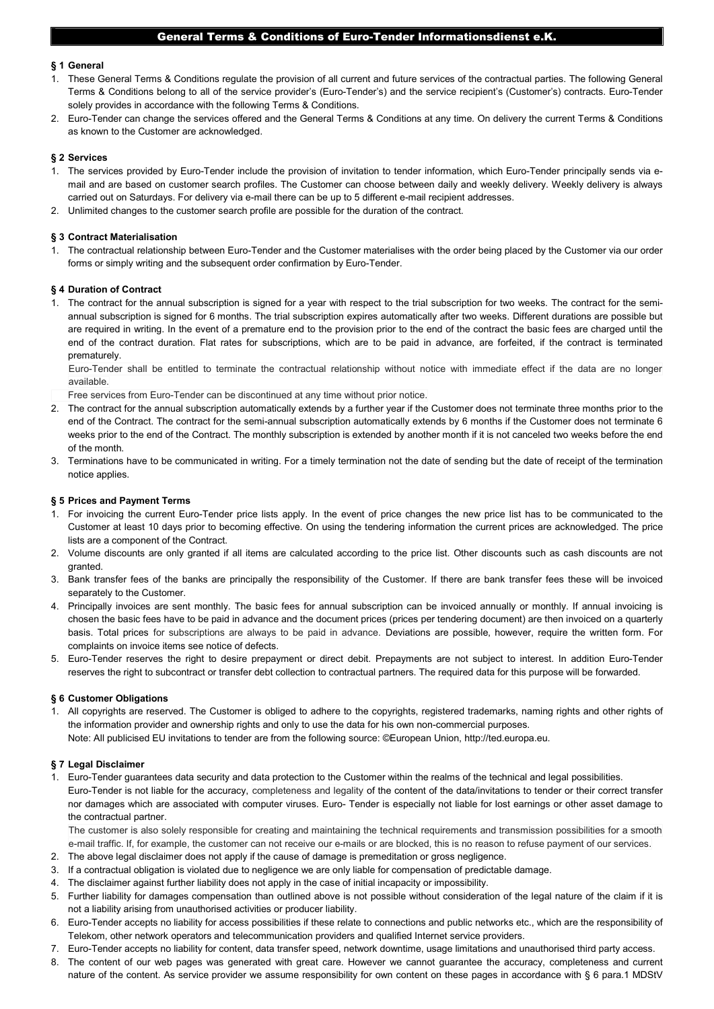## General Terms & Conditions of Euro-Tender Informationsdienst e.K.

## § 1 General

- 1. These General Terms & Conditions regulate the provision of all current and future services of the contractual parties. The following General Terms & Conditions belong to all of the service provider's (Euro-Tender's) and the service recipient's (Customer's) contracts. Euro-Tender solely provides in accordance with the following Terms & Conditions.
- 2. Euro-Tender can change the services offered and the General Terms & Conditions at any time. On delivery the current Terms & Conditions as known to the Customer are acknowledged.

# § 2 Services

- 1. The services provided by Euro-Tender include the provision of invitation to tender information, which Euro-Tender principally sends via email and are based on customer search profiles. The Customer can choose between daily and weekly delivery. Weekly delivery is always carried out on Saturdays. For delivery via e-mail there can be up to 5 different e-mail recipient addresses.
- 2. Unlimited changes to the customer search profile are possible for the duration of the contract.

### § 3 Contract Materialisation

1. The contractual relationship between Euro-Tender and the Customer materialises with the order being placed by the Customer via our order forms or simply writing and the subsequent order confirmation by Euro-Tender.

#### § 4 Duration of Contract

1. The contract for the annual subscription is signed for a year with respect to the trial subscription for two weeks. The contract for the semiannual subscription is signed for 6 months. The trial subscription expires automatically after two weeks. Different durations are possible but are required in writing. In the event of a premature end to the provision prior to the end of the contract the basic fees are charged until the end of the contract duration. Flat rates for subscriptions, which are to be paid in advance, are forfeited, if the contract is terminated prematurely.

Euro-Tender shall be entitled to terminate the contractual relationship without notice with immediate effect if the data are no longer available.

- Free services from Euro-Tender can be discontinued at any time without prior notice.
- 2. The contract for the annual subscription automatically extends by a further year if the Customer does not terminate three months prior to the end of the Contract. The contract for the semi-annual subscription automatically extends by 6 months if the Customer does not terminate 6 weeks prior to the end of the Contract. The monthly subscription is extended by another month if it is not canceled two weeks before the end of the month.
- 3. Terminations have to be communicated in writing. For a timely termination not the date of sending but the date of receipt of the termination notice applies.

#### § 5 Prices and Payment Terms

- 1. For invoicing the current Euro-Tender price lists apply. In the event of price changes the new price list has to be communicated to the Customer at least 10 days prior to becoming effective. On using the tendering information the current prices are acknowledged. The price lists are a component of the Contract.
- 2. Volume discounts are only granted if all items are calculated according to the price list. Other discounts such as cash discounts are not granted.
- 3. Bank transfer fees of the banks are principally the responsibility of the Customer. If there are bank transfer fees these will be invoiced separately to the Customer.
- 4. Principally invoices are sent monthly. The basic fees for annual subscription can be invoiced annually or monthly. If annual invoicing is chosen the basic fees have to be paid in advance and the document prices (prices per tendering document) are then invoiced on a quarterly basis. Total prices for subscriptions are always to be paid in advance. Deviations are possible, however, require the written form. For complaints on invoice items see notice of defects.
- 5. Euro-Tender reserves the right to desire prepayment or direct debit. Prepayments are not subject to interest. In addition Euro-Tender reserves the right to subcontract or transfer debt collection to contractual partners. The required data for this purpose will be forwarded.

#### § 6 Customer Obligations

1. All copyrights are reserved. The Customer is obliged to adhere to the copyrights, registered trademarks, naming rights and other rights of the information provider and ownership rights and only to use the data for his own non-commercial purposes. Note: All publicised EU invitations to tender are from the following source: ©European Union, http://ted.europa.eu.

## § 7 Legal Disclaimer

1. Euro-Tender guarantees data security and data protection to the Customer within the realms of the technical and legal possibilities. Euro-Tender is not liable for the accuracy, completeness and legality of the content of the data/invitations to tender or their correct transfer nor damages which are associated with computer viruses. Euro- Tender is especially not liable for lost earnings or other asset damage to the contractual partner.

The customer is also solely responsible for creating and maintaining the technical requirements and transmission possibilities for a smooth e-mail traffic. If, for example, the customer can not receive our e-mails or are blocked, this is no reason to refuse payment of our services.

- 2. The above legal disclaimer does not apply if the cause of damage is premeditation or gross negligence.
- 3. If a contractual obligation is violated due to negligence we are only liable for compensation of predictable damage.
- 4. The disclaimer against further liability does not apply in the case of initial incapacity or impossibility.
- 5. Further liability for damages compensation than outlined above is not possible without consideration of the legal nature of the claim if it is not a liability arising from unauthorised activities or producer liability.
- 6. Euro-Tender accepts no liability for access possibilities if these relate to connections and public networks etc., which are the responsibility of Telekom, other network operators and telecommunication providers and qualified Internet service providers.
- 7. Euro-Tender accepts no liability for content, data transfer speed, network downtime, usage limitations and unauthorised third party access.
- 8. The content of our web pages was generated with great care. However we cannot guarantee the accuracy, completeness and current nature of the content. As service provider we assume responsibility for own content on these pages in accordance with § 6 para.1 MDStV